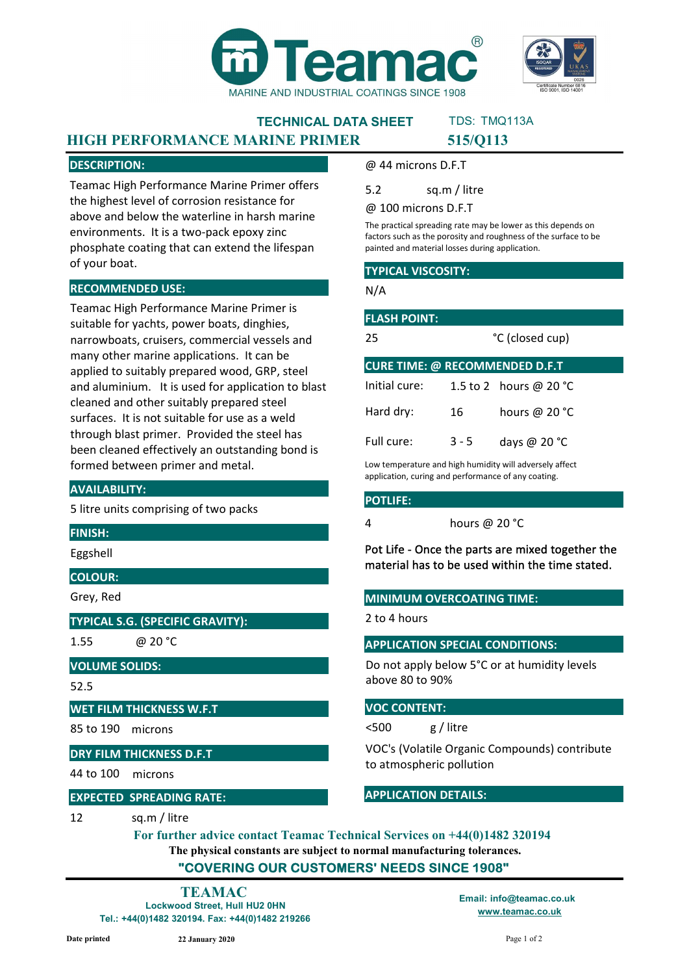



#### TECHNICAL DATA SHEET HIGH PERFORMANCE MARINE PRIMER 515/Q113 TDS: TMQ113A

#### DESCRIPTION:

Teamac High Performance Marine Primer offers the highest level of corrosion resistance for above and below the waterline in harsh marine environments. It is a two-pack epoxy zinc phosphate coating that can extend the lifespan of your boat.

#### RECOMMENDED USE:

Teamac High Performance Marine Primer is suitable for yachts, power boats, dinghies, narrowboats, cruisers, commercial vessels and many other marine applications. It can be applied to suitably prepared wood, GRP, steel and aluminium. It is used for application to blast cleaned and other suitably prepared steel surfaces. It is not suitable for use as a weld through blast primer. Provided the steel has been cleaned effectively an outstanding bond is formed between primer and metal.

#### AVAILABILITY:

5 litre units comprising of two packs

#### FINISH:

Eggshell

#### COLOUR:

Grey, Red

#### TYPICAL S.G. (SPECIFIC GRAVITY):

1.55

@ 20 °C

### VOLUME SOLIDS:

52.5

#### WET FILM THICKNESS W.F.T

85 to 190 microns

#### DRY FILM THICKNESS D.F.T

44 to 100 microns

#### EXPECTED SPREADING RATE:

12 sq.m / litre

@ 44 microns D.F.T

5.2 sq.m / litre

@ 100 microns D.F.T

The practical spreading rate may be lower as this depends on factors such as the porosity and roughness of the surface to be painted and material losses during application.

#### TYPICAL VISCOSITY:

N/A

| <b>FLASH POINT:</b>                   |                 |                                  |  |  |
|---------------------------------------|-----------------|----------------------------------|--|--|
| 25                                    | °C (closed cup) |                                  |  |  |
| <b>CURE TIME: @ RECOMMENDED D.F.T</b> |                 |                                  |  |  |
| Initial cure:                         |                 | 1.5 to 2 hours @ 20 $^{\circ}$ C |  |  |
| Hard dry:                             | 16              | hours @ 20 °C                    |  |  |
| Full cure:                            | 3 - 5           | days @ $20 °C$                   |  |  |

Low temperature and high humidity will adversely affect application, curing and performance of any coating.

#### POTLIFE:

4 hours @ 20 °C

Pot Life - Once the parts are mixed together the material has to be used within the time stated.

#### MINIMUM OVERCOATING TIME:

2 to 4 hours

#### APPLICATION SPECIAL CONDITIONS:

Do not apply below 5°C or at humidity levels above 80 to 90%

#### VOC CONTENT:

<500 g / litre

VOC's (Volatile Organic Compounds) contribute to atmospheric pollution

#### APPLICATION DETAILS:

The physical constants are subject to normal manufacturing tolerances. "COVERING OUR CUSTOMERS' NEEDS SINCE 1908" For further advice contact Teamac Technical Services on +44(0)1482 320194

Lockwood Street, Hull HU2 0HN Tel.: +44(0)1482 320194. Fax: +44(0)1482 219266 TEAMAC Email: info@teamac.co.uk

www.teamac.co.uk